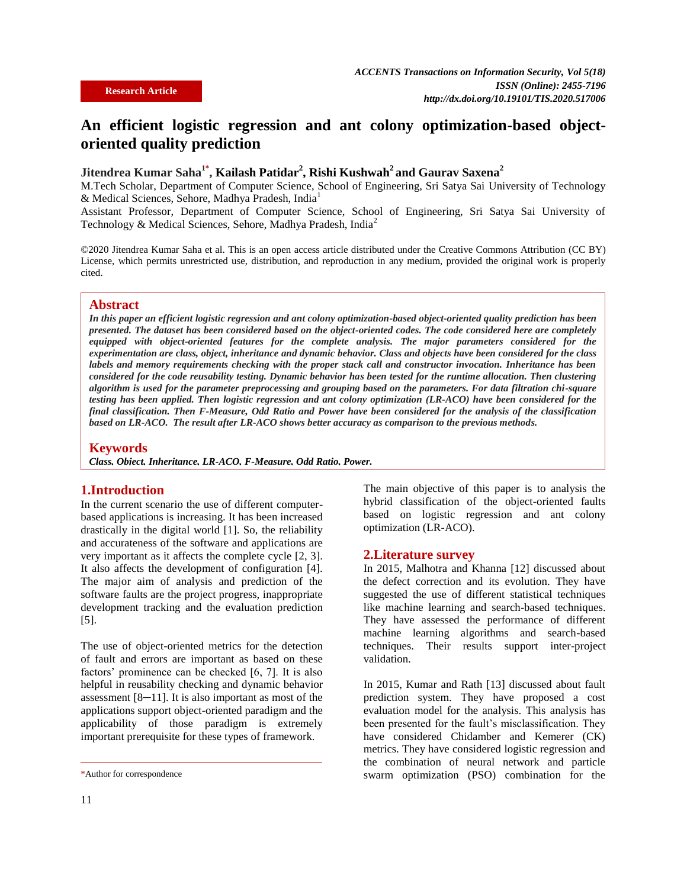# **An efficient logistic regression and ant colony optimization-based objectoriented quality prediction**

## **Jitendrea Kumar Saha 1\* , Kailash Patidar<sup>2</sup> , Rishi Kushwah<sup>2</sup> and Gaurav Saxena<sup>2</sup>**

M.Tech Scholar, Department of Computer Science, School of Engineering, Sri Satya Sai University of Technology & Medical Sciences, Sehore, Madhya Pradesh, India<sup>1</sup>

Assistant Professor, Department of Computer Science, School of Engineering, Sri Satya Sai University of Technology & Medical Sciences, Sehore, Madhya Pradesh, India<sup>2</sup>

©2020 Jitendrea Kumar Saha et al. This is an open access article distributed under the Creative Commons Attribution (CC BY) License, which permits unrestricted use, distribution, and reproduction in any medium, provided the original work is properly cited.

#### **Abstract**

*In this paper an efficient logistic regression and ant colony optimization-based object-oriented quality prediction has been presented. The dataset has been considered based on the object-oriented codes. The code considered here are completely equipped with object-oriented features for the complete analysis. The major parameters considered for the experimentation are class, object, inheritance and dynamic behavior. Class and objects have been considered for the class labels and memory requirements checking with the proper stack call and constructor invocation. Inheritance has been considered for the code reusability testing. Dynamic behavior has been tested for the runtime allocation. Then clustering algorithm is used for the parameter preprocessing and grouping based on the parameters. For data filtration chi-square testing has been applied. Then logistic regression and ant colony optimization (LR-ACO) have been considered for the final classification. Then F-Measure, Odd Ratio and Power have been considered for the analysis of the classification based on LR-ACO. The result after LR-ACO shows better accuracy as comparison to the previous methods.*

#### **Keywords**

*Class, Object, Inheritance, LR-ACO, F-Measure, Odd Ratio, Power.* 

### **1.Introduction**

In the current scenario the use of different computerbased applications is increasing. It has been increased drastically in the digital world [1]. So, the reliability and accurateness of the software and applications are very important as it affects the complete cycle [2, 3]. It also affects the development of configuration [4]. The major aim of analysis and prediction of the software faults are the project progress, inappropriate development tracking and the evaluation prediction [5].

The use of object-oriented metrics for the detection of fault and errors are important as based on these factors' prominence can be checked [6, 7]. It is also helpful in reusability checking and dynamic behavior assessment [8─11]. It is also important as most of the applications support object-oriented paradigm and the applicability of those paradigm is extremely important prerequisite for these types of framework.

The main objective of this paper is to analysis the hybrid classification of the object-oriented faults based on logistic regression and ant colony optimization (LR-ACO).

#### **2.Literature survey**

In 2015, Malhotra and Khanna [12] discussed about the defect correction and its evolution. They have suggested the use of different statistical techniques like machine learning and search-based techniques. They have assessed the performance of different machine learning algorithms and search-based techniques. Their results support inter-project validation.

In 2015, Kumar and Rath [13] discussed about fault prediction system. They have proposed a cost evaluation model for the analysis. This analysis has been presented for the fault's misclassification. They have considered Chidamber and Kemerer (CK) metrics. They have considered logistic regression and the combination of neural network and particle swarm optimization (PSO) combination for the

<sup>\*</sup>Author for correspondence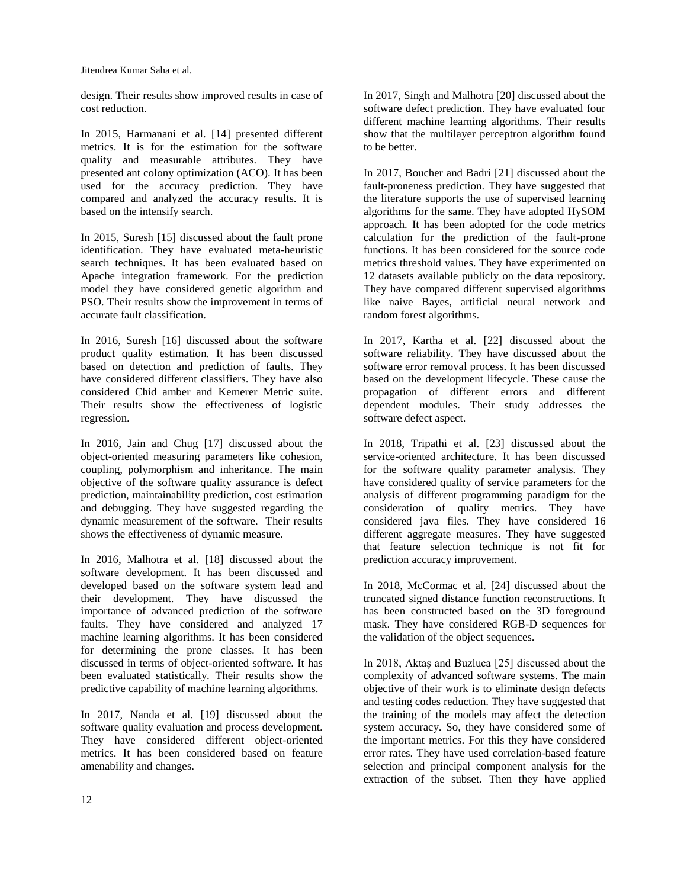Jitendrea Kumar Saha et al.

design. Their results show improved results in case of cost reduction.

In 2015, Harmanani et al. [14] presented different metrics. It is for the estimation for the software quality and measurable attributes. They have presented ant colony optimization (ACO). It has been used for the accuracy prediction. They have compared and analyzed the accuracy results. It is based on the intensify search.

In 2015, Suresh [15] discussed about the fault prone identification. They have evaluated meta-heuristic search techniques. It has been evaluated based on Apache integration framework. For the prediction model they have considered genetic algorithm and PSO. Their results show the improvement in terms of accurate fault classification.

In 2016, Suresh [16] discussed about the software product quality estimation. It has been discussed based on detection and prediction of faults. They have considered different classifiers. They have also considered Chid amber and Kemerer Metric suite. Their results show the effectiveness of logistic regression.

In 2016, Jain and Chug [17] discussed about the object-oriented measuring parameters like cohesion, coupling, polymorphism and inheritance. The main objective of the software quality assurance is defect prediction, maintainability prediction, cost estimation and debugging. They have suggested regarding the dynamic measurement of the software. Their results shows the effectiveness of dynamic measure.

In 2016, Malhotra et al. [18] discussed about the software development. It has been discussed and developed based on the software system lead and their development. They have discussed the importance of advanced prediction of the software faults. They have considered and analyzed 17 machine learning algorithms. It has been considered for determining the prone classes. It has been discussed in terms of object-oriented software. It has been evaluated statistically. Their results show the predictive capability of machine learning algorithms.

In 2017, Nanda et al. [19] discussed about the software quality evaluation and process development. They have considered different object-oriented metrics. It has been considered based on feature amenability and changes.

In 2017, Singh and Malhotra [20] discussed about the software defect prediction. They have evaluated four different machine learning algorithms. Their results show that the multilayer perceptron algorithm found to be better.

In 2017, Boucher and Badri [21] discussed about the fault-proneness prediction. They have suggested that the literature supports the use of supervised learning algorithms for the same. They have adopted HySOM approach. It has been adopted for the code metrics calculation for the prediction of the fault-prone functions. It has been considered for the source code metrics threshold values. They have experimented on 12 datasets available publicly on the data repository. They have compared different supervised algorithms like naive Bayes, artificial neural network and random forest algorithms.

In 2017, Kartha et al. [22] discussed about the software reliability. They have discussed about the software error removal process. It has been discussed based on the development lifecycle. These cause the propagation of different errors and different dependent modules. Their study addresses the software defect aspect.

In 2018, Tripathi et al. [23] discussed about the service-oriented architecture. It has been discussed for the software quality parameter analysis. They have considered quality of service parameters for the analysis of different programming paradigm for the consideration of quality metrics. They have considered java files. They have considered 16 different aggregate measures. They have suggested that feature selection technique is not fit for prediction accuracy improvement.

In 2018, McCormac et al. [24] discussed about the truncated signed distance function reconstructions. It has been constructed based on the 3D foreground mask. They have considered RGB-D sequences for the validation of the object sequences.

In 2018, Aktaş and Buzluca [25] discussed about the complexity of advanced software systems. The main objective of their work is to eliminate design defects and testing codes reduction. They have suggested that the training of the models may affect the detection system accuracy. So, they have considered some of the important metrics. For this they have considered error rates. They have used correlation-based feature selection and principal component analysis for the extraction of the subset. Then they have applied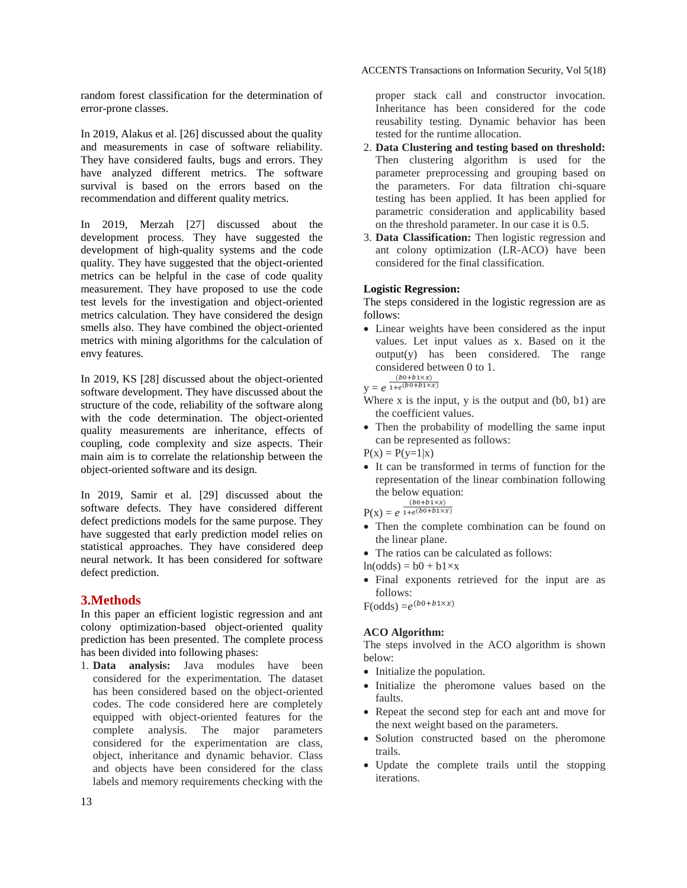random forest classification for the determination of error-prone classes.

In 2019, Alakus et al. [26] discussed about the quality and measurements in case of software reliability. They have considered faults, bugs and errors. They have analyzed different metrics. The software survival is based on the errors based on the recommendation and different quality metrics.

In 2019, Merzah [27] discussed about the development process. They have suggested the development of high-quality systems and the code quality. They have suggested that the object-oriented metrics can be helpful in the case of code quality measurement. They have proposed to use the code test levels for the investigation and object-oriented metrics calculation. They have considered the design smells also. They have combined the object-oriented metrics with mining algorithms for the calculation of envy features.

In 2019, KS [28] discussed about the object-oriented software development. They have discussed about the structure of the code, reliability of the software along with the code determination. The object-oriented quality measurements are inheritance, effects of coupling, code complexity and size aspects. Their main aim is to correlate the relationship between the object-oriented software and its design.

In 2019, Samir et al. [29] discussed about the software defects. They have considered different defect predictions models for the same purpose. They have suggested that early prediction model relies on statistical approaches. They have considered deep neural network. It has been considered for software defect prediction.

### **3.Methods**

In this paper an efficient logistic regression and ant colony optimization-based object-oriented quality prediction has been presented. The complete process has been divided into following phases:

1. **Data analysis:** Java modules have been considered for the experimentation. The dataset has been considered based on the object-oriented codes. The code considered here are completely equipped with object-oriented features for the complete analysis. The major parameters considered for the experimentation are class, object, inheritance and dynamic behavior. Class and objects have been considered for the class labels and memory requirements checking with the

proper stack call and constructor invocation. Inheritance has been considered for the code reusability testing. Dynamic behavior has been tested for the runtime allocation.

- 2. **Data Clustering and testing based on threshold:** Then clustering algorithm is used for the parameter preprocessing and grouping based on the parameters. For data filtration chi-square testing has been applied. It has been applied for parametric consideration and applicability based on the threshold parameter. In our case it is 0.5.
- 3. **Data Classification:** Then logistic regression and ant colony optimization (LR-ACO) have been considered for the final classification.

#### **Logistic Regression:**

The steps considered in the logistic regression are as follows:

 Linear weights have been considered as the input values. Let input values as x. Based on it the output(y) has been considered. The range considered between 0 to 1.

 $y = e^{\frac{y}{1 + y}}$  $1+e$ <sup>(</sup>

- Where  $x$  is the input,  $y$  is the output and  $(b0, b1)$  are the coefficient values.
- Then the probability of modelling the same input can be represented as follows:

 $P(x) = P(y=1|x)$ 

- It can be transformed in terms of function for the representation of the linear combination following the below equation:  $(b0+b\overline{1} \times x)$
- $P(x) = e^{-x}e^{-x}$
- Then the complete combination can be found on the linear plane.
- The ratios can be calculated as follows:
- $ln(odds) = b0 + b1 \times x$
- Final exponents retrieved for the input are as follows:

 $F(odds) = e^{(c)}$ 

## **ACO Algorithm:**

The steps involved in the ACO algorithm is shown below:

- Initialize the population.
- Initialize the pheromone values based on the faults.
- Repeat the second step for each ant and move for the next weight based on the parameters.
- Solution constructed based on the pheromone trails.
- Update the complete trails until the stopping iterations.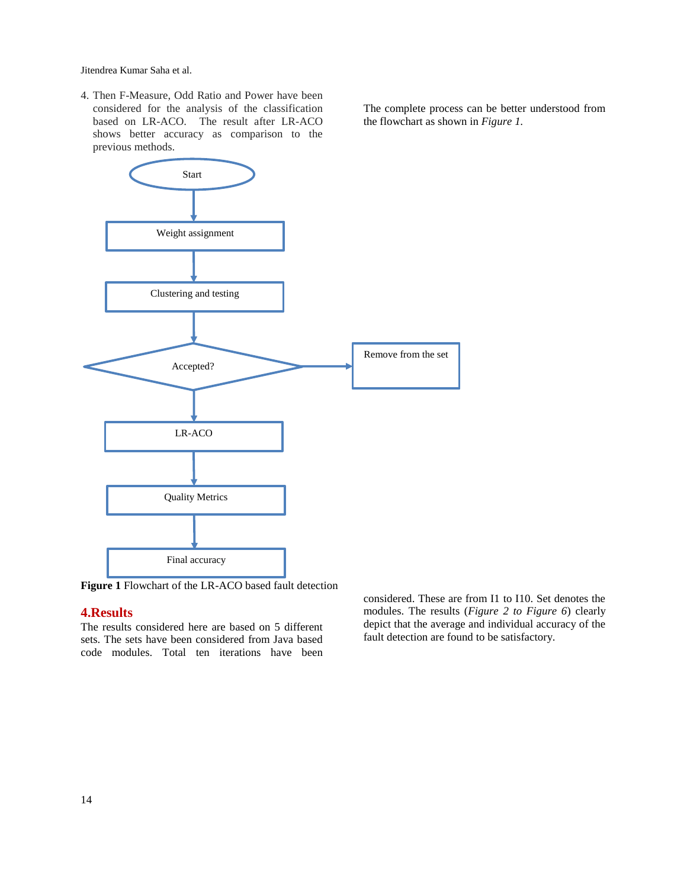Jitendrea Kumar Saha et al.

4. Then F-Measure, Odd Ratio and Power have been considered for the analysis of the classification based on LR-ACO. The result after LR-ACO shows better accuracy as comparison to the previous methods.

The complete process can be better understood from the flowchart as shown in *Figure 1.*



**Figure 1** Flowchart of the LR-ACO based fault detection

### **4.Results**

The results considered here are based on 5 different sets. The sets have been considered from Java based code modules. Total ten iterations have been

considered. These are from I1 to I10. Set denotes the modules. The results (*Figure 2 to Figure 6*) clearly depict that the average and individual accuracy of the fault detection are found to be satisfactory.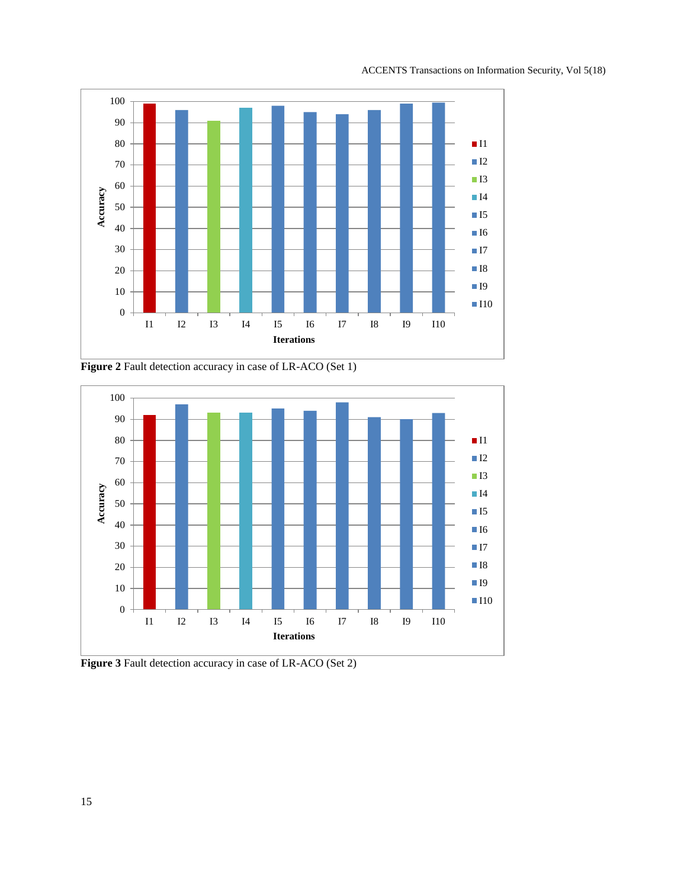

**Figure 2** Fault detection accuracy in case of LR-ACO (Set 1)



**Figure 3** Fault detection accuracy in case of LR-ACO (Set 2)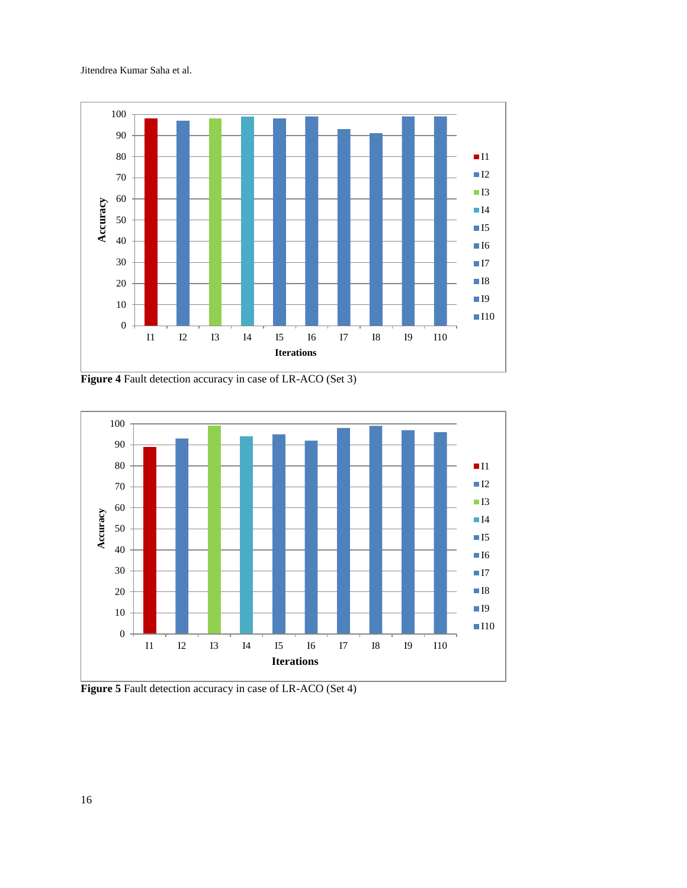



**Figure 4** Fault detection accuracy in case of LR-ACO (Set 3)



**Figure 5** Fault detection accuracy in case of LR-ACO (Set 4)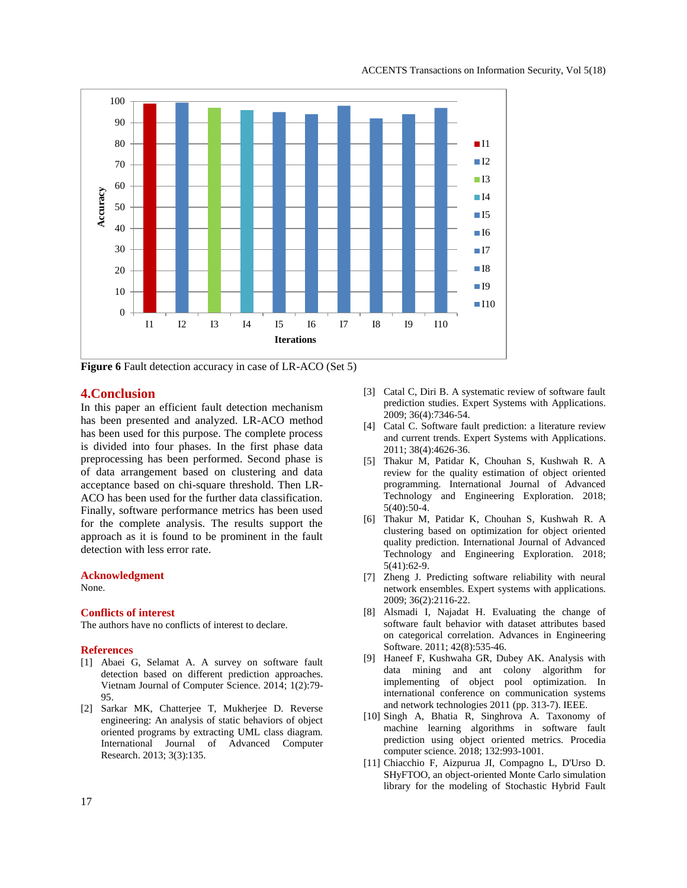

**Figure 6** Fault detection accuracy in case of LR-ACO (Set 5)

### **4.Conclusion**

In this paper an efficient fault detection mechanism has been presented and analyzed. LR-ACO method has been used for this purpose. The complete process is divided into four phases. In the first phase data preprocessing has been performed. Second phase is of data arrangement based on clustering and data acceptance based on chi-square threshold. Then LR-ACO has been used for the further data classification. Finally, software performance metrics has been used for the complete analysis. The results support the approach as it is found to be prominent in the fault detection with less error rate.

#### **Acknowledgment**

None.

#### **Conflicts of interest**

The authors have no conflicts of interest to declare.

#### **References**

- [1] Abaei G, Selamat A. A survey on software fault detection based on different prediction approaches. Vietnam Journal of Computer Science. 2014; 1(2):79- 95.
- [2] Sarkar MK, Chatterjee T, Mukherjee D. Reverse engineering: An analysis of static behaviors of object oriented programs by extracting UML class diagram. International Journal of Advanced Computer Research. 2013; 3(3):135.
- [3] Catal C, Diri B. A systematic review of software fault prediction studies. Expert Systems with Applications. 2009; 36(4):7346-54.
- [4] Catal C. Software fault prediction: a literature review and current trends. Expert Systems with Applications. 2011; 38(4):4626-36.
- [5] Thakur M, Patidar K, Chouhan S, Kushwah R. A review for the quality estimation of object oriented programming. International Journal of Advanced Technology and Engineering Exploration. 2018; 5(40):50-4.
- [6] Thakur M, Patidar K, Chouhan S, Kushwah R. A clustering based on optimization for object oriented quality prediction. International Journal of Advanced Technology and Engineering Exploration. 2018; 5(41):62-9.
- [7] Zheng J. Predicting software reliability with neural network ensembles. Expert systems with applications. 2009; 36(2):2116-22.
- [8] Alsmadi I, Najadat H. Evaluating the change of software fault behavior with dataset attributes based on categorical correlation. Advances in Engineering Software. 2011; 42(8):535-46.
- [9] Haneef F, Kushwaha GR, Dubey AK. Analysis with data mining and ant colony algorithm for implementing of object pool optimization. In international conference on communication systems and network technologies 2011 (pp. 313-7). IEEE.
- [10] Singh A, Bhatia R, Singhrova A. Taxonomy of machine learning algorithms in software fault prediction using object oriented metrics. Procedia computer science. 2018; 132:993-1001.
- [11] Chiacchio F, Aizpurua JI, Compagno L, D'Urso D. SHyFTOO, an object-oriented Monte Carlo simulation library for the modeling of Stochastic Hybrid Fault